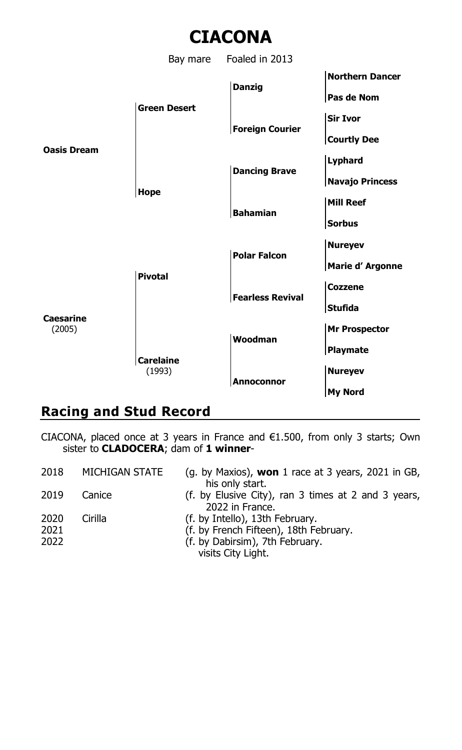

## **Racing and Stud Record**

CIACONA, placed once at 3 years in France and €1.500, from only 3 starts; Own sister to **CLADOCERA**; dam of **1 winner**-

| 2018 | MICHIGAN STATE | (g. by Maxios), won 1 race at 3 years, 2021 in GB,  |
|------|----------------|-----------------------------------------------------|
|      |                | his only start.                                     |
| 2019 | Canice         | (f. by Elusive City), ran 3 times at 2 and 3 years, |
|      |                | 2022 in France.                                     |
| 2020 | Cirilla        | (f. by Intello), 13th February.                     |
| 2021 |                | (f. by French Fifteen), 18th February.              |
| 2022 |                | (f. by Dabirsim), 7th February.                     |
|      |                | visits City Light.                                  |